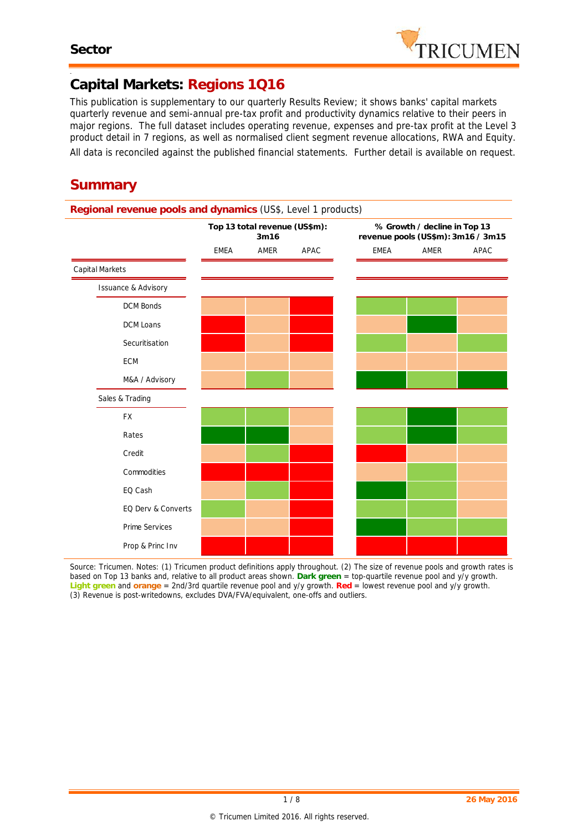-



# **Capital Markets: Regions 1Q16**

*This publication is supplementary to our quarterly Results Review; it shows banks' capital markets quarterly revenue and semi-annual pre-tax profit and productivity dynamics relative to their peers in major regions. The full dataset includes operating revenue, expenses and pre-tax profit at the Level 3 product detail in 7 regions, as well as normalised client segment revenue allocations, RWA and Equity. All data is reconciled against the published financial statements. Further detail is available on request.*

# **Summary**

|                                |             | Top 13 total revenue (US\$m):<br>3m16 |      | % Growth / decline in Top 13<br>revenue pools (US\$m): 3m16 / 3m15 |      |      |  |  |  |  |  |
|--------------------------------|-------------|---------------------------------------|------|--------------------------------------------------------------------|------|------|--|--|--|--|--|
|                                | <b>EMEA</b> | AMER                                  | APAC | <b>EMEA</b>                                                        | AMER | APAC |  |  |  |  |  |
| Capital Markets                |             |                                       |      |                                                                    |      |      |  |  |  |  |  |
| <b>Issuance &amp; Advisory</b> |             |                                       |      |                                                                    |      |      |  |  |  |  |  |
| <b>DCM Bonds</b>               |             |                                       |      |                                                                    |      |      |  |  |  |  |  |
| <b>DCM Loans</b>               |             |                                       |      |                                                                    |      |      |  |  |  |  |  |
| Securitisation                 |             |                                       |      |                                                                    |      |      |  |  |  |  |  |
| ECM                            |             |                                       |      |                                                                    |      |      |  |  |  |  |  |
| M&A / Advisory                 |             |                                       |      |                                                                    |      |      |  |  |  |  |  |
| Sales & Trading                |             |                                       |      |                                                                    |      |      |  |  |  |  |  |
| <b>FX</b>                      |             |                                       |      |                                                                    |      |      |  |  |  |  |  |
| Rates                          |             |                                       |      |                                                                    |      |      |  |  |  |  |  |
| Credit                         |             |                                       |      |                                                                    |      |      |  |  |  |  |  |
| Commodities                    |             |                                       |      |                                                                    |      |      |  |  |  |  |  |
| EQ Cash                        |             |                                       |      |                                                                    |      |      |  |  |  |  |  |
| EQ Derv & Converts             |             |                                       |      |                                                                    |      |      |  |  |  |  |  |
| Prime Services                 |             |                                       |      |                                                                    |      |      |  |  |  |  |  |
| Prop & Princ Inv               |             |                                       |      |                                                                    |      |      |  |  |  |  |  |

*Source: Tricumen. Notes: (1) Tricumen product definitions apply throughout. (2) The size of revenue pools and growth rates is based on Top 13 banks and, relative to all product areas shown. Dark green = top-quartile revenue pool and y/y growth. Light green and orange = 2nd/3rd quartile revenue pool and y/y growth. Red = lowest revenue pool and y/y growth. (3) Revenue is post-writedowns, excludes DVA/FVA/equivalent, one-offs and outliers.*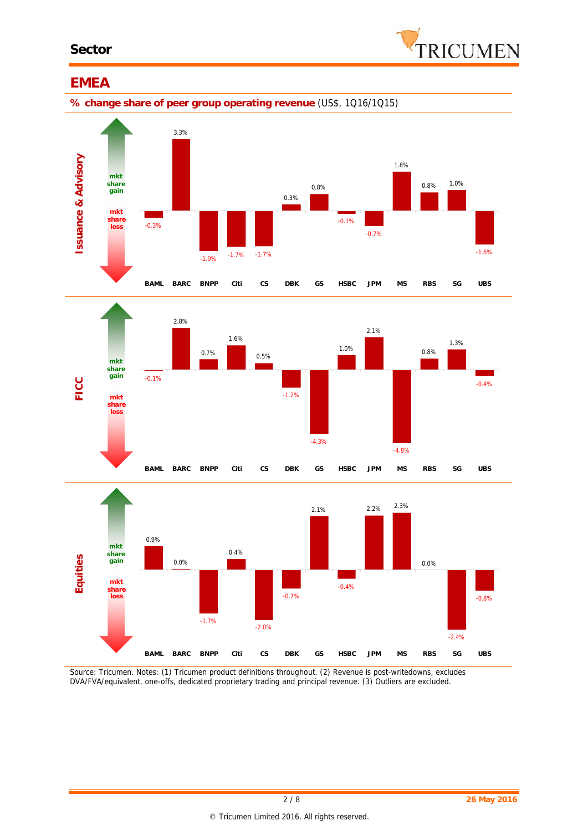

# **EMEA**

**% change share of peer group operating revenue** (US\$, 1Q16/1Q15)







*Source: Tricumen. Notes: (1) Tricumen product definitions throughout. (2) Revenue is post-writedowns, excludes DVA/FVA/equivalent, one-offs, dedicated proprietary trading and principal revenue. (3) Outliers are excluded.*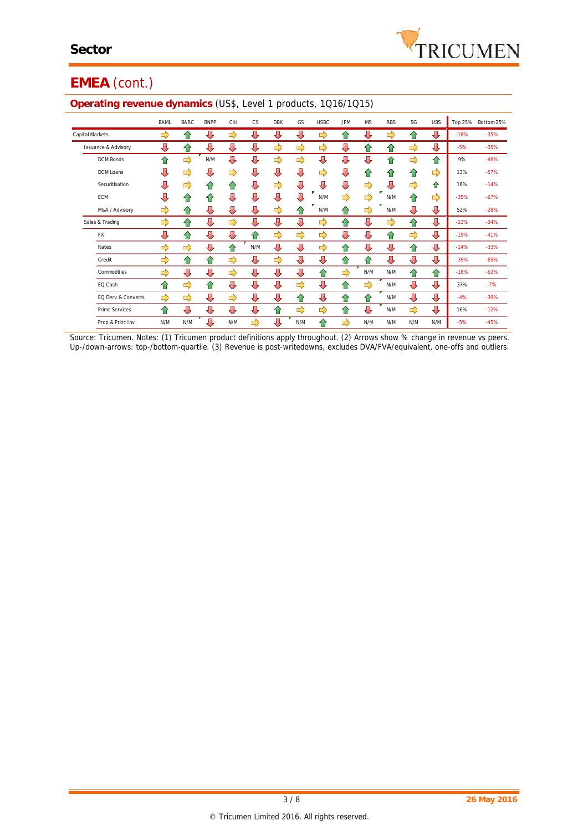

# **EMEA** (cont.)

| ~                              |             |               |             |               |           |            |               |             |               |           |            |               |            |        |                    |
|--------------------------------|-------------|---------------|-------------|---------------|-----------|------------|---------------|-------------|---------------|-----------|------------|---------------|------------|--------|--------------------|
|                                | <b>BAML</b> | <b>BARC</b>   | <b>BNPP</b> | Citi          | <b>CS</b> | <b>DBK</b> | GS            | <b>HSBC</b> | <b>JPM</b>    | <b>MS</b> | <b>RBS</b> | SG            | <b>UBS</b> |        | Top 25% Bottom 25% |
| Capital Markets                | ⇨           | ⇧             | ⇩           | ⇨             | ⇩         | ⇩          | ⇩             | ⇨           | ⇑             | ⇩         | ⇨          | ⇧             | ⇩          | $-18%$ | $-35%$             |
| <b>Issuance &amp; Advisory</b> | ⇩           | ⇧             | ⇩           | ⇩             | ⇩         | ⇨          | ⇨             | ⇨           | ⇩             | 슙         | 슙          | ⇨             | ⇩          | $-5%$  | $-35%$             |
| <b>DCM Bonds</b>               | ⇧           | $\Rightarrow$ | N/M         | ⇩             | ⇩         | ⇨          | $\Rightarrow$ | ⇩           | ⇩             | ⇩         | ⇧          | ⇨             | ⇧          | 9%     | $-46%$             |
| DCM Loans                      | ⇩           | ⇨             | ⇩           | ⇨             | ⇩         | Д          | ⇩             | ⇨           | ⇩             | 合         | 合          | ⇧             | ⇨          | 13%    | $-57%$             |
| Securitisation                 | ⇩           | ⇨             | 仐           | ⇑             | ⇩         | ⇨          | ⇩             | ⇩           | ⇩             | ⇨         | ⇩          | ⇨             | ⇑          | 16%    | $-14%$             |
| ECM                            | ⇩           | ⇑             | 仐           | ⇩             | ⇩         | ⇩          | ⇩             | N/M         | ⇨             | ⇨         | N/M        | ⇑             | ⇨          | $-35%$ | $-67%$             |
| M&A / Advisory                 | ⇨           | ⇧             | ⇩           | ⇩             | ⇩         | ⇨          | ⇑             | N/M         | ⇧             | ⇨         | N/M        | ⇩             | ⇩          | 52%    | $-28%$             |
| Sales & Trading                | ⇨           | ⇧             | ⇩           | $\Rightarrow$ | ⇩         | ⇩          | ⇩             | ⇨           | ⇧             | ⇩         | ⇨          | 슙             | ⇩          | $-23%$ | $-34%$             |
| <b>FX</b>                      | ⇩           | ⇧             | ⇩           | ⇩             | 合         | ⇨          | ⇨             | ⇨           | ⇩             | ⇩         | ⇧          | $\Rightarrow$ | ⇩          | $-19%$ | $-41%$             |
| Rates                          | ⇨           | $\Rightarrow$ | ⇩           | ⇑             | N/M       | ⇩          | ⇩             | ⇨           | ⇧             | ⇩         | ⇩          | ⇧             | ⇩          | $-14%$ | $-33%$             |
| Credit                         | ⇨           | ⇧             | ⇧           | ⇨             | ⇩         | ⇨          | ⇩             | ⇩           | ⇧             | 合         | ⇩          | ⇩             | ⇩          | $-39%$ | $-69%$             |
| Commodities                    | ⇨           | ⇩             | ⇩           | ⇨             | ⇩         | ⇩          | ⇩             | ⇧           | $\Rightarrow$ | N/M       | N/M        | ⇧             | ⇧          | $-18%$ | $-62%$             |
| EQ Cash                        | ⇧           | ⇨             | ⇧           | ⇩             | ⇩         | ⇩          | ⇨             | ⇩           | ⇧             | ⇨         | N/M        | ⇩             | ⇩          | 37%    | $-7%$              |
| EQ Derv & Converts             | ⇨           | ⇨             | ⇩           | ⇨             | ⇩         | ⇩          | 合             | ⇩           | ⇧             | ⇧         | N/M        | ⇩             | ⇩          | $-4%$  | $-39%$             |
| Prime Services                 | 合           | ⇩             | ⇩           | ⇩             | ⇩         | ⇧          | $\Rightarrow$ | ⇨           | ⇧             | ⇩         | N/M        | ⇨             | ⇩          | 16%    | $-12%$             |
| Prop & Princ Inv               | N/M         | N/M           | ⇩           | N/M           | ⇨         | ⇩          | N/M           | ⇑           | ⇨             | N/M       | N/M        | N/M           | N/M        | $-5%$  | $-45%$             |

#### **Operating revenue dynamics** (US\$, Level 1 products, 1Q16/1Q15)

*Source: Tricumen. Notes: (1) Tricumen product definitions apply throughout. (2) Arrows show % change in revenue vs peers. Up-/down-arrows: top-/bottom-quartile. (3) Revenue is post-writedowns, excludes DVA/FVA/equivalent, one-offs and outliers.*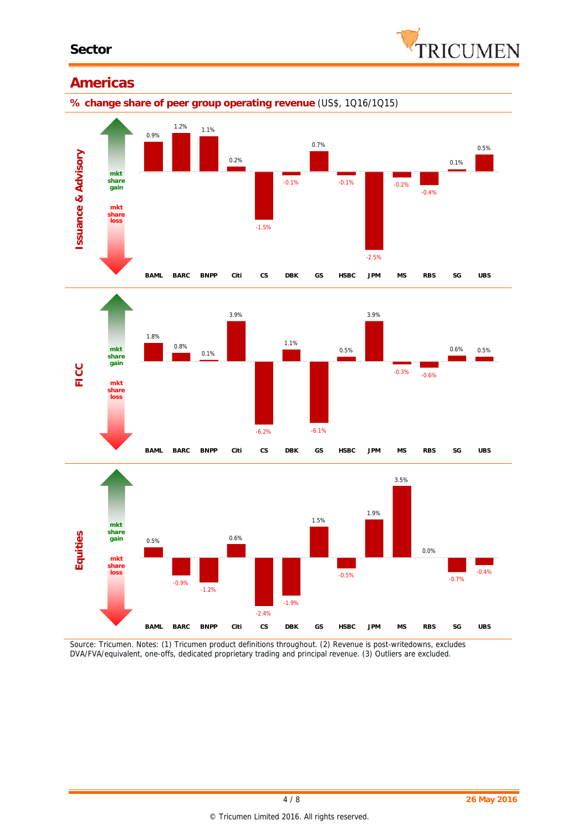

#### **Americas**









*Source: Tricumen. Notes: (1) Tricumen product definitions throughout. (2) Revenue is post-writedowns, excludes DVA/FVA/equivalent, one-offs, dedicated proprietary trading and principal revenue. (3) Outliers are excluded.*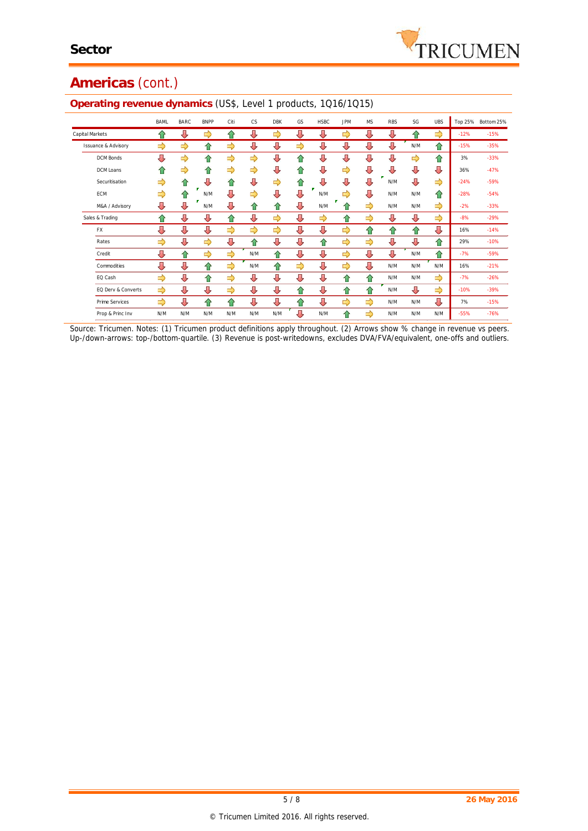

# **Americas** (cont.)

|                                | <b>BAML</b>   | <b>BARC</b> | <b>BNPP</b> | Citi | <b>CS</b> | <b>DBK</b> | GS | <b>HSBC</b> | <b>JPM</b> | <b>MS</b> | <b>RBS</b> | SG  | <b>UBS</b> | Top 25% | Bottom 25% |
|--------------------------------|---------------|-------------|-------------|------|-----------|------------|----|-------------|------------|-----------|------------|-----|------------|---------|------------|
| Capital Markets                | 슈             | ⇩           | ⇨           | 仐    | ⇩         | ⇨          | ⇩  | ⊕           | ⇨          | ⇩         | ⇩          | 仐   | ⇨          | $-12%$  | $-15%$     |
| <b>Issuance &amp; Advisory</b> | $\Rightarrow$ | ⇨           | 슈           | ⇨    | ⊕         | ⊕          | ⇨  | ⇩           | ⇩          | ⇩         | ⇩          | N/M | ⇑          | $-15%$  | $-35%$     |
| <b>DCM Bonds</b>               | ⇩             | ⇨           | 슈           | ⇨    | ⇨         | ⇩          | 合  | ⊕           | ⇩          | ⊕         | ⊕          | ⇨   | ⇧          | 3%      | $-33%$     |
| DCM Loans                      | 슈             | ⇨           | ⇑           | ⇨    | ⇨         | ⇩          | ⇑  | ⇩           | ⇨          | ⇩         | ⊕          | ⇩   | ⇩          | 36%     | $-47%$     |
| Securitisation                 | ⇨             | ⇑           | J           | 슈    | ⊕         | ⇨          | 介  | Д           | ⇩          | ⊕         | N/M        | ⊕   | ⇨          | $-24%$  | $-59%$     |
| ECM                            | $\Rightarrow$ | ⇑           | N/M         | ⇩    | ⇨         | ⇩          | ⇩  | N/M         | ⇨          | ⇩         | N/M        | N/M | ⇧          | $-28%$  | $-54%$     |
| M&A / Advisory                 | ⇩             | ⇩           | N/M         | ⇩    | ⇑         | ⇑          | ⊕  | N/M         | 11         | ⇨         | N/M        | N/M | ⇨          | $-2%$   | $-33%$     |
| Sales & Trading                | 슈             | ⇩           | ⊕           | 仐    | ⊕         | ⇨          | ⊕  | ⇨           | ⇑          | ⇨         | ⇩          | ⇩   | ⇨          | $-8%$   | $-29%$     |
| <b>FX</b>                      | ⇩             | ⇩           | ⊕           | ⇨    | ⇨         | ⇨          | ⇩  | ⊕           | ⇨          | ⇧         | ⇧          | ⇧   | ⇩          | 16%     | $-14%$     |
| Rates                          | ⇨             | ⇩           | ⇨           | ⇩    | ⇑         | ⇩          | ⇩  | ⇑           | ⇨          | ⇨         | ⇩          | ⇩   | ⇧          | 29%     | $-10%$     |
| Credit                         | Д             | ⇧           | ⇨           | ⇨    | N/M       | ⇑          | ⊕  | ⊕           | ⇨          | ⇩         | ⇩          | N/M | 슈          | $-7%$   | $-59%$     |
| Commodities                    | Д             | J,          | ⇑           | ⇨    | N/M       | ⇑          | ⇨  | ⊕           | ⇨          | ⊕         | N/M        | N/M | N/M        | 16%     | $-21%$     |
| EQ Cash                        | $\Rightarrow$ | ⇩           | ⇑           | ⇨    | ⊕         | ⇩          | ⊕  | ⊕           | 仐          | 合         | N/M        | N/M | ⇨          | $-7%$   | $-26%$     |
| EQ Derv & Converts             | ⇨             | ⇩           | ⊕           | ⇨    | ⇩         | ⇩          | 仐  | ⊕           | ⇧          | ⇑         | N/M        | ⇩   | ⇨          | $-10%$  | $-39%$     |
| Prime Services                 | ⇨             | ⇩           | ⇑           | 仐    | ⊕         | ⇩          | 合  | ⊕           | ⇨          | ⇨         | N/M        | N/M | ⊕          | 7%      | $-15%$     |
| Prop & Princ Inv               | N/M           | N/M         | N/M         | N/M  | N/M       | N/M        | Д  | N/M         | ⇑          | ⇨         | N/M        | N/M | N/M        | $-55%$  | $-76%$     |

# **Operating revenue dynamics** (US\$, Level 1 products, 1Q16/1Q15)

*Source: Tricumen. Notes: (1) Tricumen product definitions apply throughout. (2) Arrows show % change in revenue vs peers. Up-/down-arrows: top-/bottom-quartile. (3) Revenue is post-writedowns, excludes DVA/FVA/equivalent, one-offs and outliers.*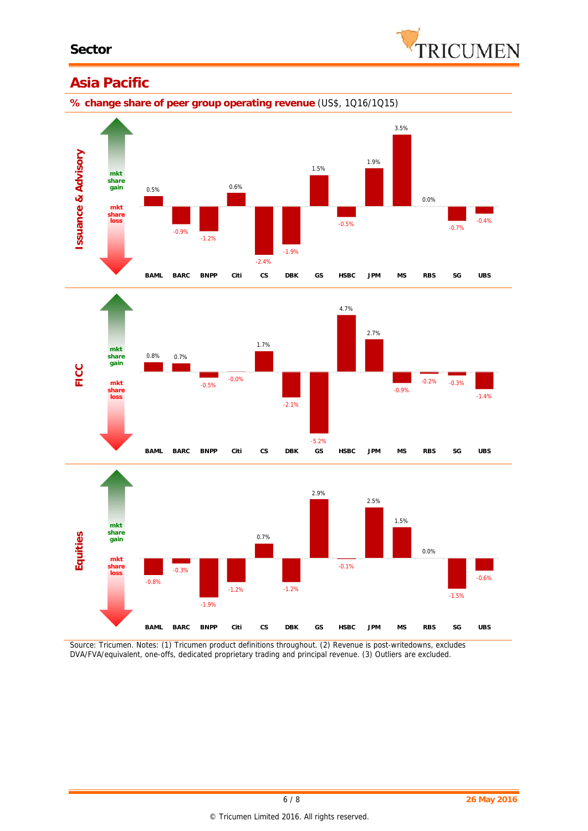

### **Asia Pacific**

**% change share of peer group operating revenue** (US\$, 1Q16/1Q15)







*Source: Tricumen. Notes: (1) Tricumen product definitions throughout. (2) Revenue is post-writedowns, excludes DVA/FVA/equivalent, one-offs, dedicated proprietary trading and principal revenue. (3) Outliers are excluded.*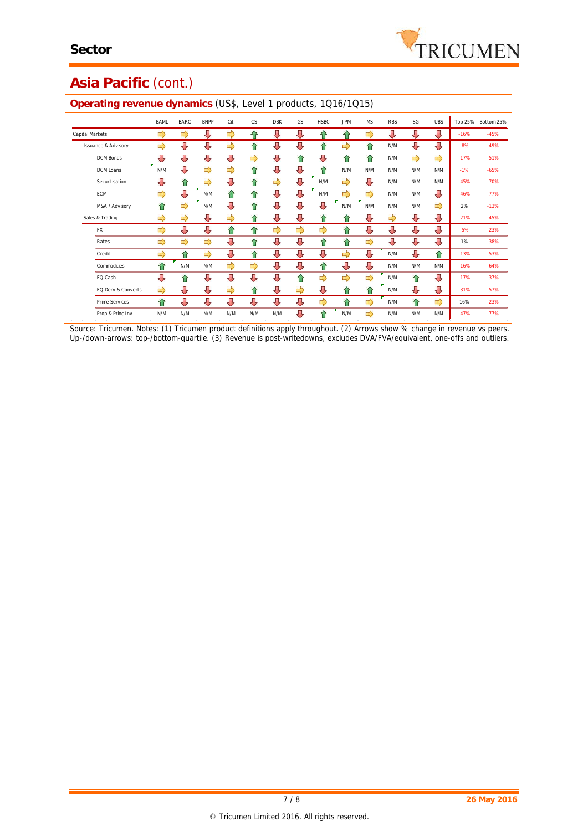

# **Asia Pacific** (cont.)

|                                | <b>BAML</b> | <b>BARC</b> | <b>BNPP</b>   | Citi | <b>CS</b> | <b>DBK</b> | GS | <b>HSBC</b> | <b>JPM</b> | <b>MS</b>     | <b>RBS</b> | SG  | <b>UBS</b> | Top 25% | Bottom 25% |
|--------------------------------|-------------|-------------|---------------|------|-----------|------------|----|-------------|------------|---------------|------------|-----|------------|---------|------------|
| <b>Capital Markets</b>         | ⇨           | ⇨           | ⊕             | ⇨    | ⇑         | ⇩          | ⇩  | 合           | ⇧          | ⇨             | ⇩          | ⇩   | ⇩          | $-16%$  | $-45%$     |
| <b>Issuance &amp; Advisory</b> | ⇨           | ⇩           | ⇩             | ⇨    | ⇑         | ⊕          | ⊕  | ⇑           | ⇨          | ⇑             | N/M        | ⇩   | ⇩          | $-8%$   | $-49%$     |
| <b>DCM Bonds</b>               | J           | 毋           | ⇩             | Д    | ⇨         | ⇩          | 仐  | ⊕           | ⇑          | ⇑             | N/M        | ⇨   | ⇨          | $-17%$  | $-51%$     |
| DCM Loans                      | N/M         | Д           | ⇨             | ⇨    | ⇑         | ⇩          | ⇩  | ⇑           | N/M        | N/M           | N/M        | N/M | N/M        | $-1%$   | $-65%$     |
| Securitisation                 | ⇩           | 合           | ⇨             | ⊕    | ⇑         | ⇨          | ⇩  | п<br>N/M    | ⇨          | ⇩             | N/M        | N/M | N/M        | $-45%$  | $-70%$     |
| ECM                            | ⇨           | ⇩           | Р<br>N/M      | ⇑    | ⇑         | ⇩          | ⇩  | N/M         | ⇨          | $\Rightarrow$ | N/M        | N/M | ⇩          | $-46%$  | $-77%$     |
| M&A / Advisory                 | ⇑           | ⇨           | N/M           | ⊕    | ⇑         | ⇩          | ⊕  | ⊕           | N/M        | N/M           | N/M        | N/M | ⇨          | 2%      | $-13%$     |
| Sales & Trading                | ⇨           | ⇨           | ⊕             | ⇨    | 슈         | ⇩          | ⇩  | 合           | ⇑          | ⇩             | ⇨          | ⇩   | ⊕          | $-21%$  | $-45%$     |
| <b>FX</b>                      | ⇨           | ⇩           | ⇩             | ⇧    | 슈         | ⇨          | ⇨  | ⇨           | ⇧          | ⇩             | ⇩          | ⇩   | ⇩          | $-5%$   | $-23%$     |
| Rates                          | ⇨           | ⇨           | ⇨             | ⇩    | 슈         | ⇩          | ⇩  | ⇧           | ⇧          | ⇨             | ⇩          | ⇩   | ⇩          | 1%      | $-38%$     |
| Credit                         | ⇨           | 合           | $\Rightarrow$ | ⊕    | 合         | ⇩          | ⇩  | ⇩           | ⇨          | ⇩             | N/M        | ⊕   | ⇧          | $-13%$  | $-53%$     |
| Commodities                    | ⇑           | N/M         | N/M           | ⇨    | ⇨         | ⇩          | ⊕  | ⇑           | ⇩          | ⇩             | N/M        | N/M | N/M        | $-16%$  | $-64%$     |
| EQ Cash                        | ⇩           | 合           | ⊕             | ⊕    | ⇩         | ⇩          | ⇧  | ⇨           | ⇨          | $\Rightarrow$ | N/M        | ⇧   | ⇩          | $-17%$  | $-37%$     |
| EQ Derv & Converts             | ⇨           | ⇩           | ⇩             | ⇨    | ⇑         | ⇩          | ⇨  | ⇩           | ⇧          | ⇑             | N/M        | ⇩   | ⇩          | $-31%$  | $-57%$     |
| Prime Services                 | 仐           | ⊕           | ⇩             | ⊕    | ⊕         | ⇩          | ⇩  | ⇨           | ⇑          | ⇨             | N/M        | ⇧   | ⇨          | 16%     | $-23%$     |
| Prop & Princ Inv               | N/M         | N/M         | N/M           | N/M  | N/M       | N/M        | ⊕  | ⇑           | N/M        | ⇨             | N/M        | N/M | N/M        | $-47%$  | $-77%$     |

#### **Operating revenue dynamics** (US\$, Level 1 products, 1Q16/1Q15)

*Source: Tricumen. Notes: (1) Tricumen product definitions apply throughout. (2) Arrows show % change in revenue vs peers. Up-/down-arrows: top-/bottom-quartile. (3) Revenue is post-writedowns, excludes DVA/FVA/equivalent, one-offs and outliers.*